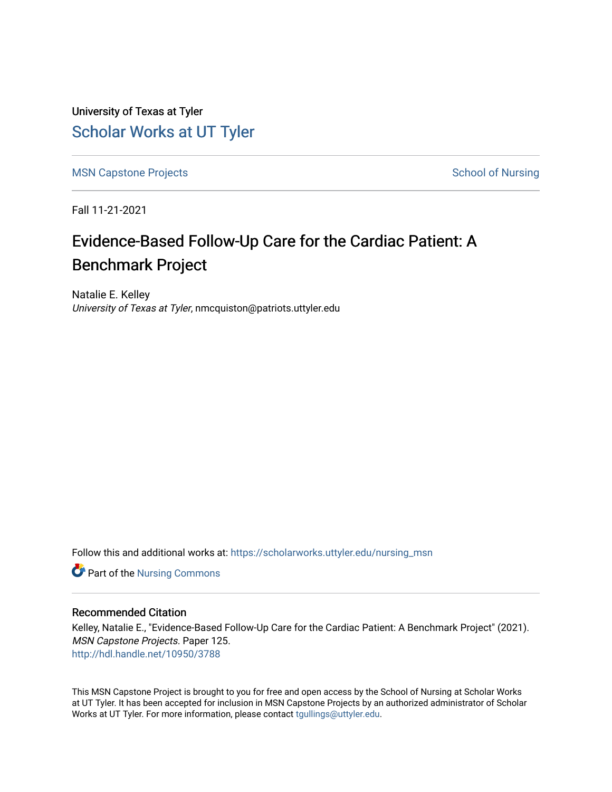University of Texas at Tyler [Scholar Works at UT Tyler](https://scholarworks.uttyler.edu/) 

[MSN Capstone Projects](https://scholarworks.uttyler.edu/nursing_msn) **School of Nursing** School of Nursing

Fall 11-21-2021

# Evidence-Based Follow-Up Care for the Cardiac Patient: A Benchmark Project

Natalie E. Kelley University of Texas at Tyler, nmcquiston@patriots.uttyler.edu

Follow this and additional works at: [https://scholarworks.uttyler.edu/nursing\\_msn](https://scholarworks.uttyler.edu/nursing_msn?utm_source=scholarworks.uttyler.edu%2Fnursing_msn%2F125&utm_medium=PDF&utm_campaign=PDFCoverPages)

**Part of the Nursing Commons** 

### Recommended Citation

Kelley, Natalie E., "Evidence-Based Follow-Up Care for the Cardiac Patient: A Benchmark Project" (2021). MSN Capstone Projects. Paper 125. [http://hdl.handle.net/10950/3788](http://hdl.handle.net/10950/3788?utm_source=scholarworks.uttyler.edu%2Fnursing_msn%2F125&utm_medium=PDF&utm_campaign=PDFCoverPages) 

This MSN Capstone Project is brought to you for free and open access by the School of Nursing at Scholar Works at UT Tyler. It has been accepted for inclusion in MSN Capstone Projects by an authorized administrator of Scholar Works at UT Tyler. For more information, please contact [tgullings@uttyler.edu](mailto:tgullings@uttyler.edu).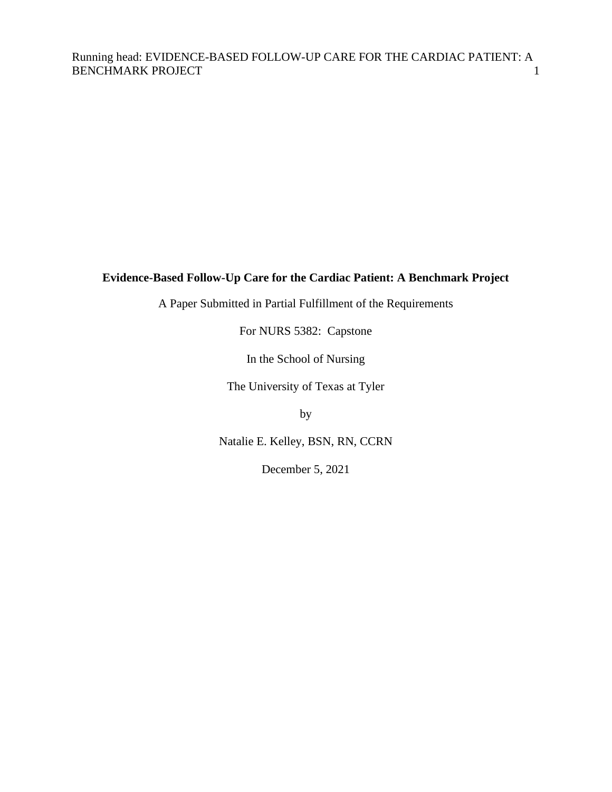## **Evidence-Based Follow-Up Care for the Cardiac Patient: A Benchmark Project**

A Paper Submitted in Partial Fulfillment of the Requirements

For NURS 5382: Capstone

In the School of Nursing

The University of Texas at Tyler

by

Natalie E. Kelley, BSN, RN, CCRN

December 5, 2021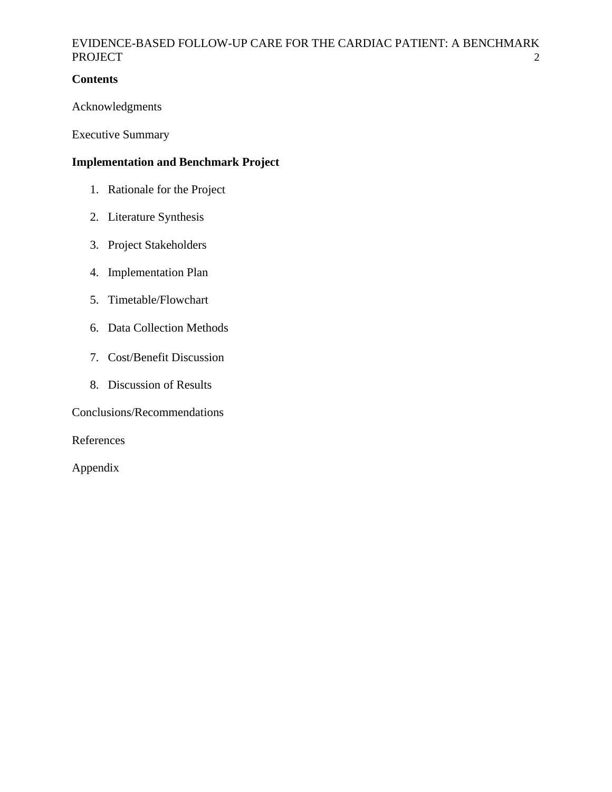## **Contents**

Acknowledgments

Executive Summary

## **Implementation and Benchmark Project**

- 1. Rationale for the Project
- 2. Literature Synthesis
- 3. Project Stakeholders
- 4. Implementation Plan
- 5. Timetable/Flowchart
- 6. Data Collection Methods
- 7. Cost/Benefit Discussion
- 8. Discussion of Results

Conclusions/Recommendations

References

Appendix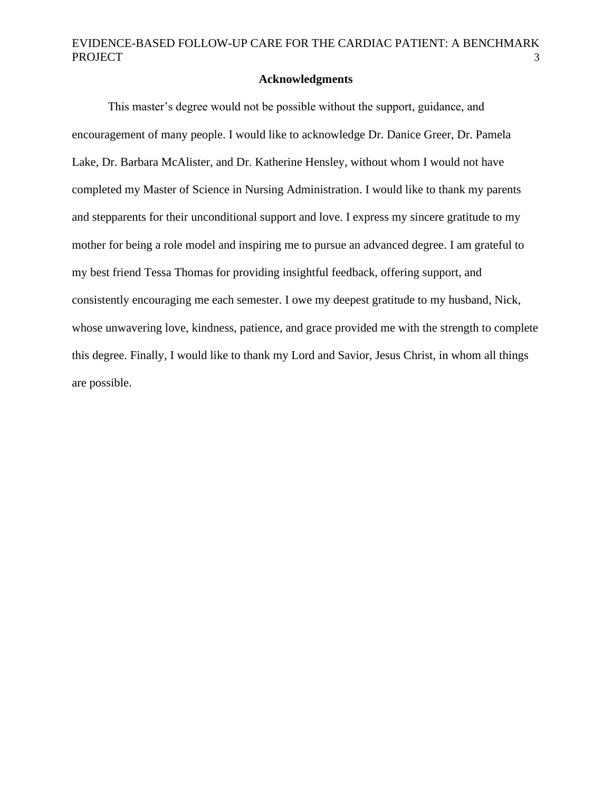### **Acknowledgments**

This master's degree would not be possible without the support, guidance, and encouragement of many people. I would like to acknowledge Dr. Danice Greer, Dr. Pamela Lake, Dr. Barbara McAlister, and Dr. Katherine Hensley, without whom I would not have completed my Master of Science in Nursing Administration. I would like to thank my parents and stepparents for their unconditional support and love. I express my sincere gratitude to my mother for being a role model and inspiring me to pursue an advanced degree. I am grateful to my best friend Tessa Thomas for providing insightful feedback, offering support, and consistently encouraging me each semester. I owe my deepest gratitude to my husband, Nick, whose unwavering love, kindness, patience, and grace provided me with the strength to complete this degree. Finally, I would like to thank my Lord and Savior, Jesus Christ, in whom all things are possible.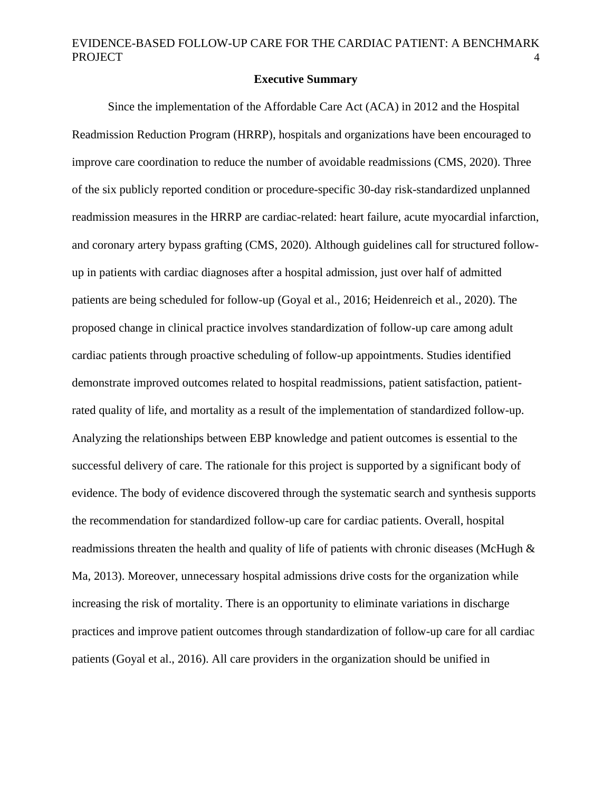### **Executive Summary**

Since the implementation of the Affordable Care Act (ACA) in 2012 and the Hospital Readmission Reduction Program (HRRP), hospitals and organizations have been encouraged to improve care coordination to reduce the number of avoidable readmissions (CMS, 2020). Three of the six publicly reported condition or procedure-specific 30-day risk-standardized unplanned readmission measures in the HRRP are cardiac-related: heart failure, acute myocardial infarction, and coronary artery bypass grafting (CMS, 2020). Although guidelines call for structured followup in patients with cardiac diagnoses after a hospital admission, just over half of admitted patients are being scheduled for follow-up (Goyal et al., 2016; Heidenreich et al., 2020). The proposed change in clinical practice involves standardization of follow-up care among adult cardiac patients through proactive scheduling of follow-up appointments. Studies identified demonstrate improved outcomes related to hospital readmissions, patient satisfaction, patientrated quality of life, and mortality as a result of the implementation of standardized follow-up. Analyzing the relationships between EBP knowledge and patient outcomes is essential to the successful delivery of care. The rationale for this project is supported by a significant body of evidence. The body of evidence discovered through the systematic search and synthesis supports the recommendation for standardized follow-up care for cardiac patients. Overall, hospital readmissions threaten the health and quality of life of patients with chronic diseases (McHugh  $\&$ Ma, 2013). Moreover, unnecessary hospital admissions drive costs for the organization while increasing the risk of mortality. There is an opportunity to eliminate variations in discharge practices and improve patient outcomes through standardization of follow-up care for all cardiac patients (Goyal et al., 2016). All care providers in the organization should be unified in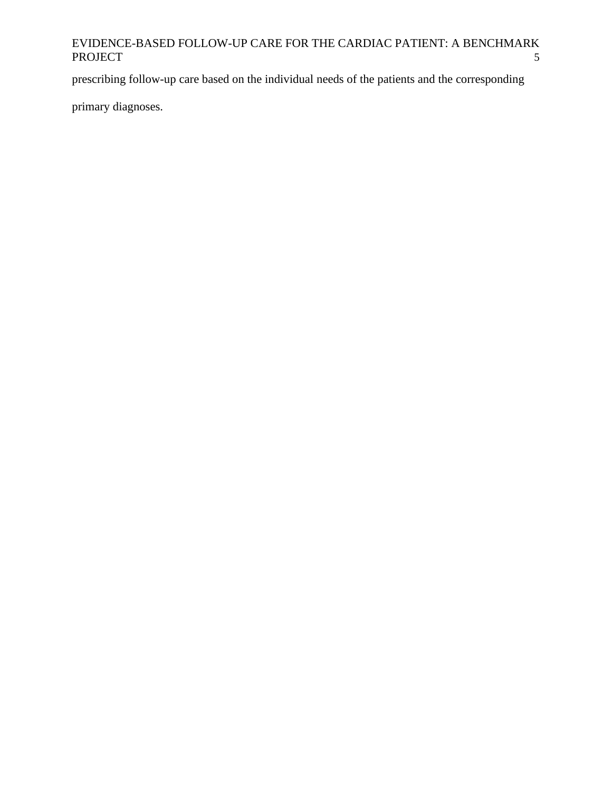prescribing follow-up care based on the individual needs of the patients and the corresponding

primary diagnoses.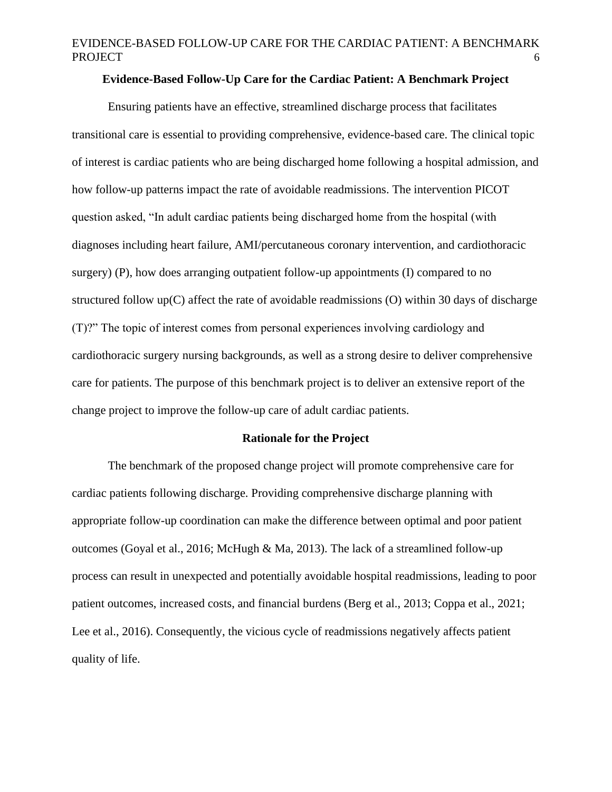## **Evidence-Based Follow-Up Care for the Cardiac Patient: A Benchmark Project**

Ensuring patients have an effective, streamlined discharge process that facilitates transitional care is essential to providing comprehensive, evidence-based care. The clinical topic of interest is cardiac patients who are being discharged home following a hospital admission, and how follow-up patterns impact the rate of avoidable readmissions. The intervention PICOT question asked, "In adult cardiac patients being discharged home from the hospital (with diagnoses including heart failure, AMI/percutaneous coronary intervention, and cardiothoracic surgery) (P), how does arranging outpatient follow-up appointments (I) compared to no structured follow up(C) affect the rate of avoidable readmissions (O) within 30 days of discharge (T)?" The topic of interest comes from personal experiences involving cardiology and cardiothoracic surgery nursing backgrounds, as well as a strong desire to deliver comprehensive care for patients. The purpose of this benchmark project is to deliver an extensive report of the change project to improve the follow-up care of adult cardiac patients.

#### **Rationale for the Project**

The benchmark of the proposed change project will promote comprehensive care for cardiac patients following discharge. Providing comprehensive discharge planning with appropriate follow-up coordination can make the difference between optimal and poor patient outcomes (Goyal et al., 2016; McHugh & Ma, 2013). The lack of a streamlined follow-up process can result in unexpected and potentially avoidable hospital readmissions, leading to poor patient outcomes, increased costs, and financial burdens (Berg et al., 2013; Coppa et al., 2021; Lee et al., 2016). Consequently, the vicious cycle of readmissions negatively affects patient quality of life.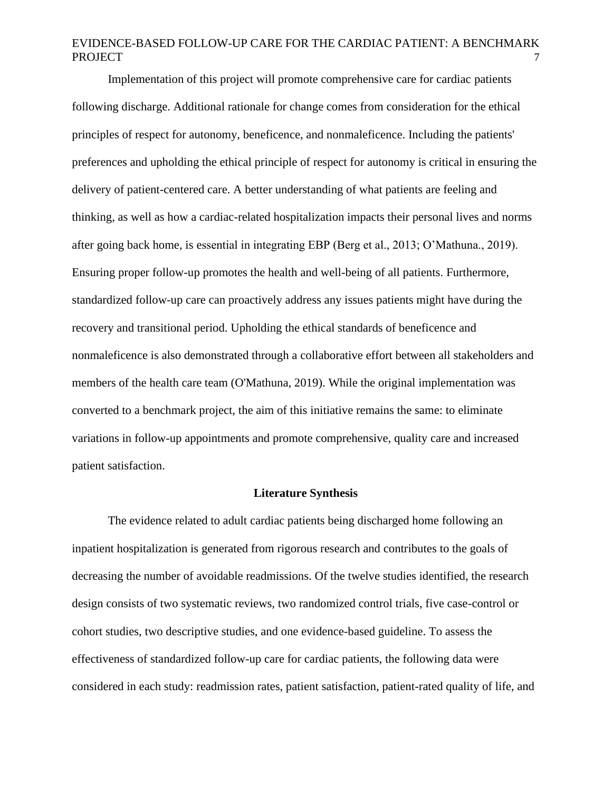Implementation of this project will promote comprehensive care for cardiac patients following discharge. Additional rationale for change comes from consideration for the ethical principles of respect for autonomy, beneficence, and nonmaleficence. Including the patients' preferences and upholding the ethical principle of respect for autonomy is critical in ensuring the delivery of patient-centered care. A better understanding of what patients are feeling and thinking, as well as how a cardiac-related hospitalization impacts their personal lives and norms after going back home, is essential in integrating EBP (Berg et al., 2013; O'Mathuna., 2019). Ensuring proper follow-up promotes the health and well-being of all patients. Furthermore, standardized follow-up care can proactively address any issues patients might have during the recovery and transitional period. Upholding the ethical standards of beneficence and nonmaleficence is also demonstrated through a collaborative effort between all stakeholders and members of the health care team (O'Mathuna, 2019). While the original implementation was converted to a benchmark project, the aim of this initiative remains the same: to eliminate variations in follow-up appointments and promote comprehensive, quality care and increased patient satisfaction.

#### **Literature Synthesis**

The evidence related to adult cardiac patients being discharged home following an inpatient hospitalization is generated from rigorous research and contributes to the goals of decreasing the number of avoidable readmissions. Of the twelve studies identified, the research design consists of two systematic reviews, two randomized control trials, five case-control or cohort studies, two descriptive studies, and one evidence-based guideline. To assess the effectiveness of standardized follow-up care for cardiac patients, the following data were considered in each study: readmission rates, patient satisfaction, patient-rated quality of life, and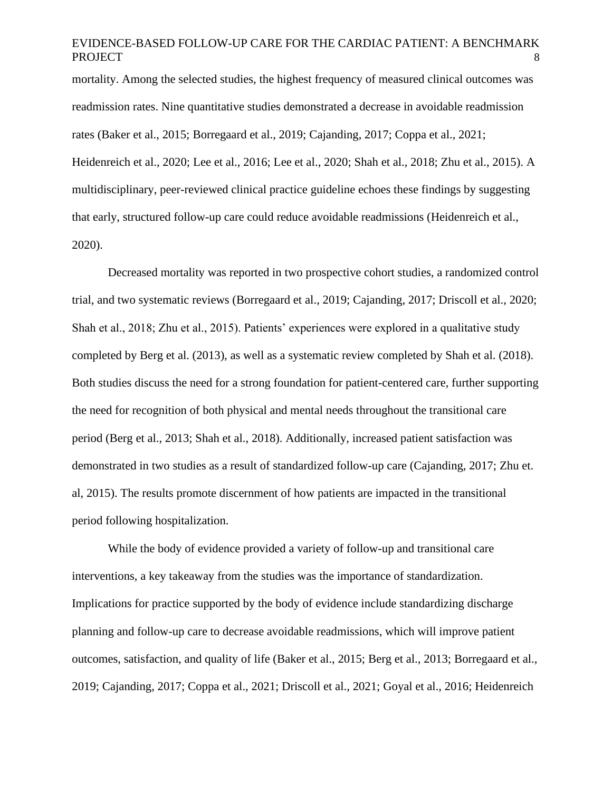mortality. Among the selected studies, the highest frequency of measured clinical outcomes was readmission rates. Nine quantitative studies demonstrated a decrease in avoidable readmission rates (Baker et al., 2015; Borregaard et al., 2019; Cajanding, 2017; Coppa et al., 2021; Heidenreich et al., 2020; Lee et al., 2016; Lee et al., 2020; Shah et al., 2018; Zhu et al., 2015). A multidisciplinary, peer-reviewed clinical practice guideline echoes these findings by suggesting that early, structured follow-up care could reduce avoidable readmissions (Heidenreich et al., 2020).

Decreased mortality was reported in two prospective cohort studies, a randomized control trial, and two systematic reviews (Borregaard et al., 2019; Cajanding, 2017; Driscoll et al., 2020; Shah et al., 2018; Zhu et al., 2015). Patients' experiences were explored in a qualitative study completed by Berg et al. (2013), as well as a systematic review completed by Shah et al. (2018). Both studies discuss the need for a strong foundation for patient-centered care, further supporting the need for recognition of both physical and mental needs throughout the transitional care period (Berg et al., 2013; Shah et al., 2018). Additionally, increased patient satisfaction was demonstrated in two studies as a result of standardized follow-up care (Cajanding, 2017; Zhu et. al, 2015). The results promote discernment of how patients are impacted in the transitional period following hospitalization.

While the body of evidence provided a variety of follow-up and transitional care interventions, a key takeaway from the studies was the importance of standardization. Implications for practice supported by the body of evidence include standardizing discharge planning and follow-up care to decrease avoidable readmissions, which will improve patient outcomes, satisfaction, and quality of life (Baker et al., 2015; Berg et al., 2013; Borregaard et al., 2019; Cajanding, 2017; Coppa et al., 2021; Driscoll et al., 2021; Goyal et al., 2016; Heidenreich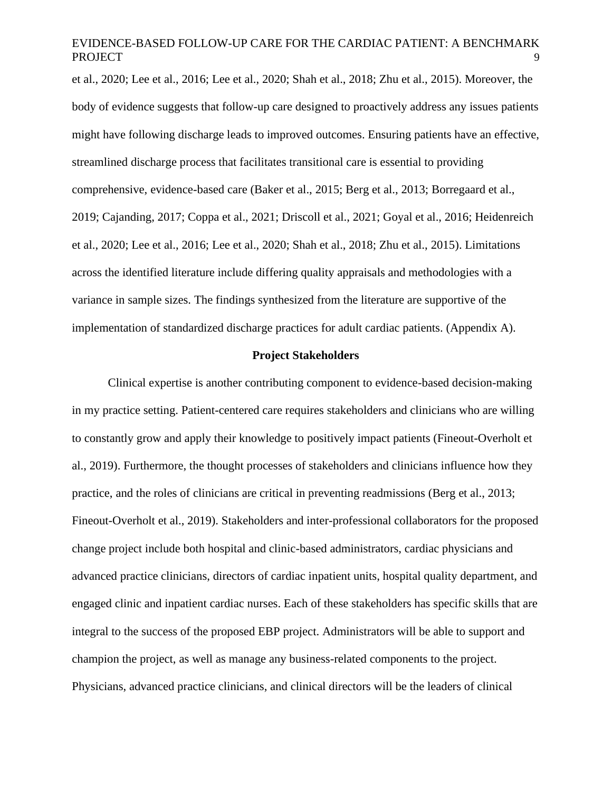et al., 2020; Lee et al., 2016; Lee et al., 2020; Shah et al., 2018; Zhu et al., 2015). Moreover, the body of evidence suggests that follow-up care designed to proactively address any issues patients might have following discharge leads to improved outcomes. Ensuring patients have an effective, streamlined discharge process that facilitates transitional care is essential to providing comprehensive, evidence-based care (Baker et al., 2015; Berg et al., 2013; Borregaard et al., 2019; Cajanding, 2017; Coppa et al., 2021; Driscoll et al., 2021; Goyal et al., 2016; Heidenreich et al., 2020; Lee et al., 2016; Lee et al., 2020; Shah et al., 2018; Zhu et al., 2015). Limitations across the identified literature include differing quality appraisals and methodologies with a variance in sample sizes. The findings synthesized from the literature are supportive of the implementation of standardized discharge practices for adult cardiac patients. (Appendix A).

### **Project Stakeholders**

Clinical expertise is another contributing component to evidence-based decision-making in my practice setting. Patient-centered care requires stakeholders and clinicians who are willing to constantly grow and apply their knowledge to positively impact patients (Fineout-Overholt et al., 2019). Furthermore, the thought processes of stakeholders and clinicians influence how they practice, and the roles of clinicians are critical in preventing readmissions (Berg et al., 2013; Fineout-Overholt et al., 2019). Stakeholders and inter-professional collaborators for the proposed change project include both hospital and clinic-based administrators, cardiac physicians and advanced practice clinicians, directors of cardiac inpatient units, hospital quality department, and engaged clinic and inpatient cardiac nurses. Each of these stakeholders has specific skills that are integral to the success of the proposed EBP project. Administrators will be able to support and champion the project, as well as manage any business-related components to the project. Physicians, advanced practice clinicians, and clinical directors will be the leaders of clinical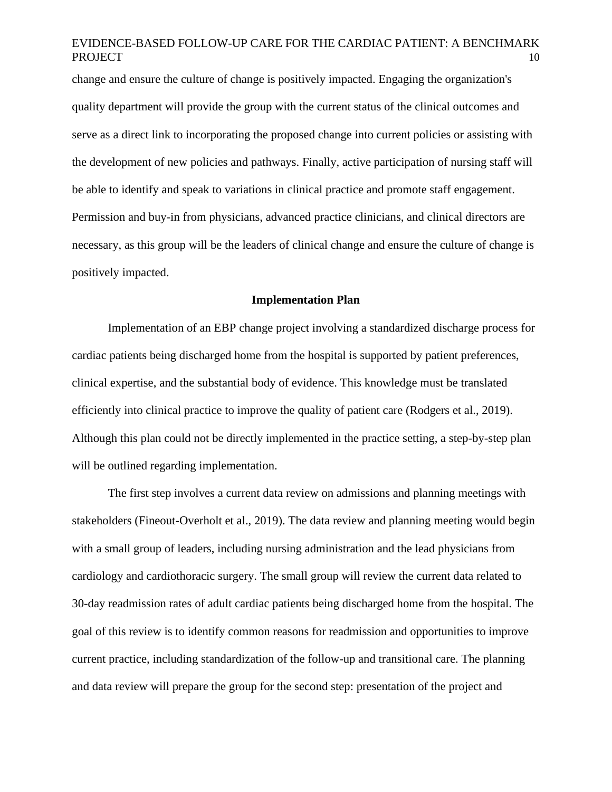change and ensure the culture of change is positively impacted. Engaging the organization's quality department will provide the group with the current status of the clinical outcomes and serve as a direct link to incorporating the proposed change into current policies or assisting with the development of new policies and pathways. Finally, active participation of nursing staff will be able to identify and speak to variations in clinical practice and promote staff engagement. Permission and buy-in from physicians, advanced practice clinicians, and clinical directors are necessary, as this group will be the leaders of clinical change and ensure the culture of change is positively impacted.

### **Implementation Plan**

Implementation of an EBP change project involving a standardized discharge process for cardiac patients being discharged home from the hospital is supported by patient preferences, clinical expertise, and the substantial body of evidence. This knowledge must be translated efficiently into clinical practice to improve the quality of patient care (Rodgers et al., 2019). Although this plan could not be directly implemented in the practice setting, a step-by-step plan will be outlined regarding implementation.

The first step involves a current data review on admissions and planning meetings with stakeholders (Fineout-Overholt et al., 2019). The data review and planning meeting would begin with a small group of leaders, including nursing administration and the lead physicians from cardiology and cardiothoracic surgery. The small group will review the current data related to 30-day readmission rates of adult cardiac patients being discharged home from the hospital. The goal of this review is to identify common reasons for readmission and opportunities to improve current practice, including standardization of the follow-up and transitional care. The planning and data review will prepare the group for the second step: presentation of the project and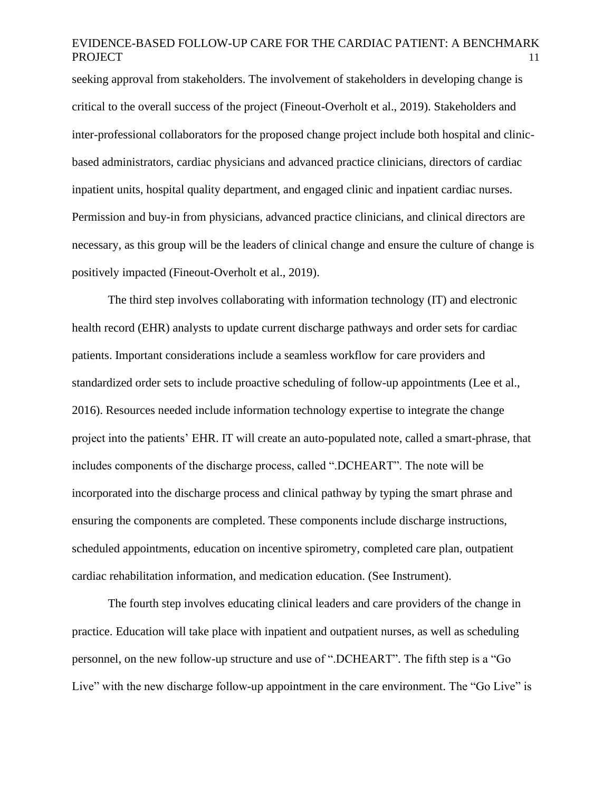seeking approval from stakeholders. The involvement of stakeholders in developing change is critical to the overall success of the project (Fineout-Overholt et al., 2019). Stakeholders and inter-professional collaborators for the proposed change project include both hospital and clinicbased administrators, cardiac physicians and advanced practice clinicians, directors of cardiac inpatient units, hospital quality department, and engaged clinic and inpatient cardiac nurses. Permission and buy-in from physicians, advanced practice clinicians, and clinical directors are necessary, as this group will be the leaders of clinical change and ensure the culture of change is positively impacted (Fineout-Overholt et al., 2019).

The third step involves collaborating with information technology (IT) and electronic health record (EHR) analysts to update current discharge pathways and order sets for cardiac patients. Important considerations include a seamless workflow for care providers and standardized order sets to include proactive scheduling of follow-up appointments (Lee et al., 2016). Resources needed include information technology expertise to integrate the change project into the patients' EHR. IT will create an auto-populated note, called a smart-phrase, that includes components of the discharge process, called ".DCHEART". The note will be incorporated into the discharge process and clinical pathway by typing the smart phrase and ensuring the components are completed. These components include discharge instructions, scheduled appointments, education on incentive spirometry, completed care plan, outpatient cardiac rehabilitation information, and medication education. (See Instrument).

The fourth step involves educating clinical leaders and care providers of the change in practice. Education will take place with inpatient and outpatient nurses, as well as scheduling personnel, on the new follow-up structure and use of ".DCHEART". The fifth step is a "Go Live" with the new discharge follow-up appointment in the care environment. The "Go Live" is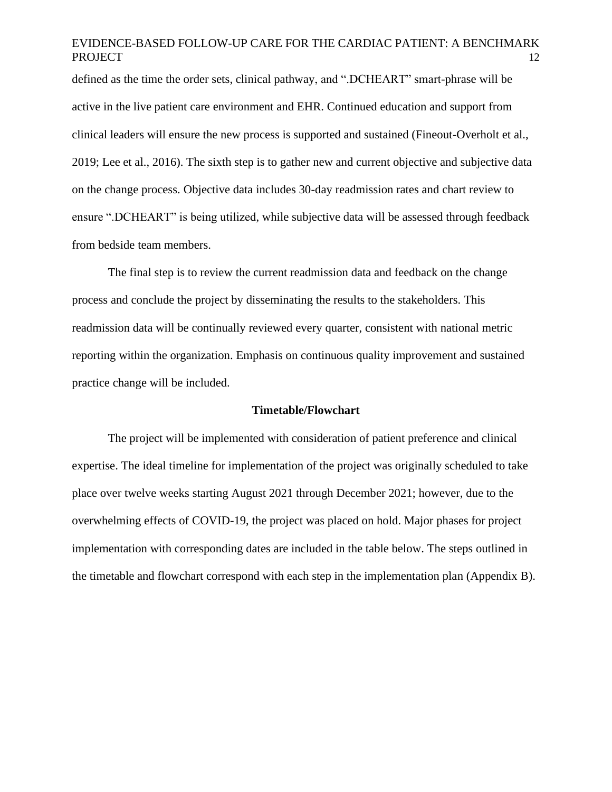defined as the time the order sets, clinical pathway, and ".DCHEART" smart-phrase will be active in the live patient care environment and EHR. Continued education and support from clinical leaders will ensure the new process is supported and sustained (Fineout-Overholt et al., 2019; Lee et al., 2016). The sixth step is to gather new and current objective and subjective data on the change process. Objective data includes 30-day readmission rates and chart review to ensure ".DCHEART" is being utilized, while subjective data will be assessed through feedback from bedside team members.

The final step is to review the current readmission data and feedback on the change process and conclude the project by disseminating the results to the stakeholders. This readmission data will be continually reviewed every quarter, consistent with national metric reporting within the organization. Emphasis on continuous quality improvement and sustained practice change will be included.

#### **Timetable/Flowchart**

The project will be implemented with consideration of patient preference and clinical expertise. The ideal timeline for implementation of the project was originally scheduled to take place over twelve weeks starting August 2021 through December 2021; however, due to the overwhelming effects of COVID-19, the project was placed on hold. Major phases for project implementation with corresponding dates are included in the table below. The steps outlined in the timetable and flowchart correspond with each step in the implementation plan (Appendix B).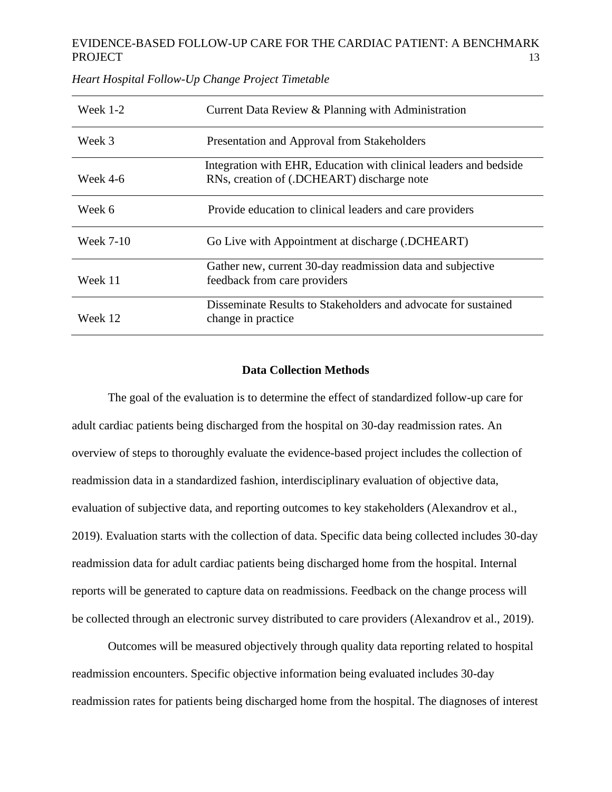| Week $1-2$       | Current Data Review & Planning with Administration                                                              |
|------------------|-----------------------------------------------------------------------------------------------------------------|
| Week 3           | Presentation and Approval from Stakeholders                                                                     |
| Week 4-6         | Integration with EHR, Education with clinical leaders and bedside<br>RNs, creation of (.DCHEART) discharge note |
| Week 6           | Provide education to clinical leaders and care providers                                                        |
| <b>Week 7-10</b> | Go Live with Appointment at discharge (.DCHEART)                                                                |
| Week 11          | Gather new, current 30-day readmission data and subjective<br>feedback from care providers                      |
| Week 12          | Disseminate Results to Stakeholders and advocate for sustained<br>change in practice.                           |

*Heart Hospital Follow-Up Change Project Timetable*

### **Data Collection Methods**

The goal of the evaluation is to determine the effect of standardized follow-up care for adult cardiac patients being discharged from the hospital on 30-day readmission rates. An overview of steps to thoroughly evaluate the evidence-based project includes the collection of readmission data in a standardized fashion, interdisciplinary evaluation of objective data, evaluation of subjective data, and reporting outcomes to key stakeholders (Alexandrov et al., 2019). Evaluation starts with the collection of data. Specific data being collected includes 30-day readmission data for adult cardiac patients being discharged home from the hospital. Internal reports will be generated to capture data on readmissions. Feedback on the change process will be collected through an electronic survey distributed to care providers (Alexandrov et al., 2019).

Outcomes will be measured objectively through quality data reporting related to hospital readmission encounters. Specific objective information being evaluated includes 30-day readmission rates for patients being discharged home from the hospital. The diagnoses of interest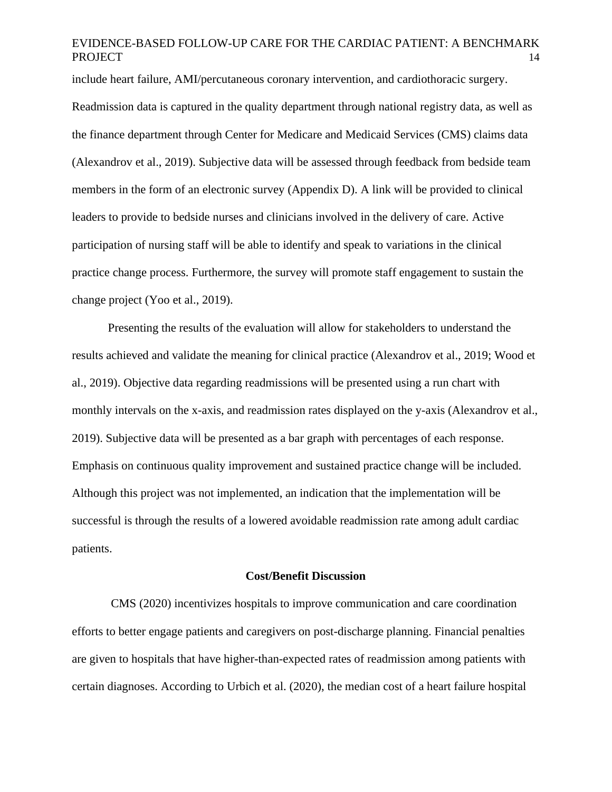include heart failure, AMI/percutaneous coronary intervention, and cardiothoracic surgery. Readmission data is captured in the quality department through national registry data, as well as the finance department through Center for Medicare and Medicaid Services (CMS) claims data (Alexandrov et al., 2019). Subjective data will be assessed through feedback from bedside team members in the form of an electronic survey (Appendix D). A link will be provided to clinical leaders to provide to bedside nurses and clinicians involved in the delivery of care. Active participation of nursing staff will be able to identify and speak to variations in the clinical practice change process. Furthermore, the survey will promote staff engagement to sustain the change project (Yoo et al., 2019).

Presenting the results of the evaluation will allow for stakeholders to understand the results achieved and validate the meaning for clinical practice (Alexandrov et al., 2019; Wood et al., 2019). Objective data regarding readmissions will be presented using a run chart with monthly intervals on the x-axis, and readmission rates displayed on the y-axis (Alexandrov et al., 2019). Subjective data will be presented as a bar graph with percentages of each response. Emphasis on continuous quality improvement and sustained practice change will be included. Although this project was not implemented, an indication that the implementation will be successful is through the results of a lowered avoidable readmission rate among adult cardiac patients.

#### **Cost/Benefit Discussion**

CMS (2020) incentivizes hospitals to improve communication and care coordination efforts to better engage patients and caregivers on post-discharge planning. Financial penalties are given to hospitals that have higher-than-expected rates of readmission among patients with certain diagnoses. According to Urbich et al. (2020), the median cost of a heart failure hospital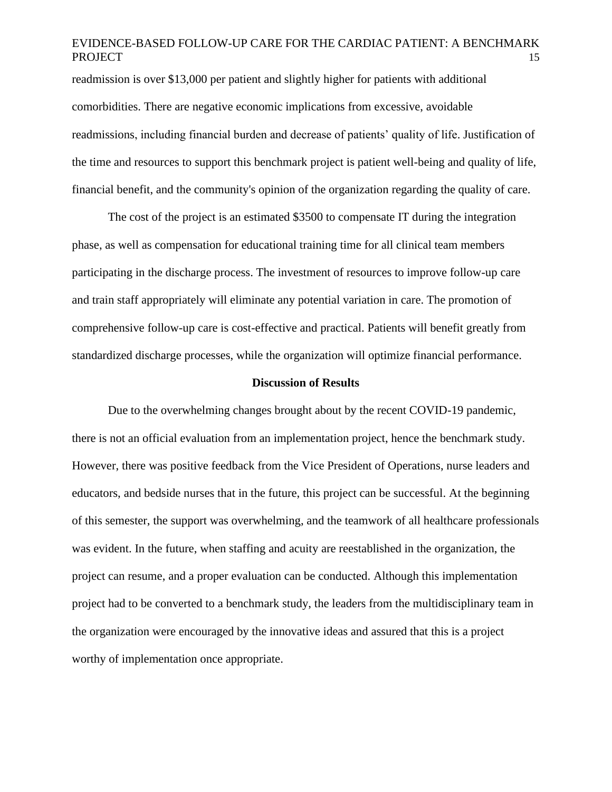readmission is over \$13,000 per patient and slightly higher for patients with additional comorbidities. There are negative economic implications from excessive, avoidable readmissions, including financial burden and decrease of patients' quality of life. Justification of the time and resources to support this benchmark project is patient well-being and quality of life, financial benefit, and the community's opinion of the organization regarding the quality of care.

The cost of the project is an estimated \$3500 to compensate IT during the integration phase, as well as compensation for educational training time for all clinical team members participating in the discharge process. The investment of resources to improve follow-up care and train staff appropriately will eliminate any potential variation in care. The promotion of comprehensive follow-up care is cost-effective and practical. Patients will benefit greatly from standardized discharge processes, while the organization will optimize financial performance.

#### **Discussion of Results**

Due to the overwhelming changes brought about by the recent COVID-19 pandemic, there is not an official evaluation from an implementation project, hence the benchmark study. However, there was positive feedback from the Vice President of Operations, nurse leaders and educators, and bedside nurses that in the future, this project can be successful. At the beginning of this semester, the support was overwhelming, and the teamwork of all healthcare professionals was evident. In the future, when staffing and acuity are reestablished in the organization, the project can resume, and a proper evaluation can be conducted. Although this implementation project had to be converted to a benchmark study, the leaders from the multidisciplinary team in the organization were encouraged by the innovative ideas and assured that this is a project worthy of implementation once appropriate.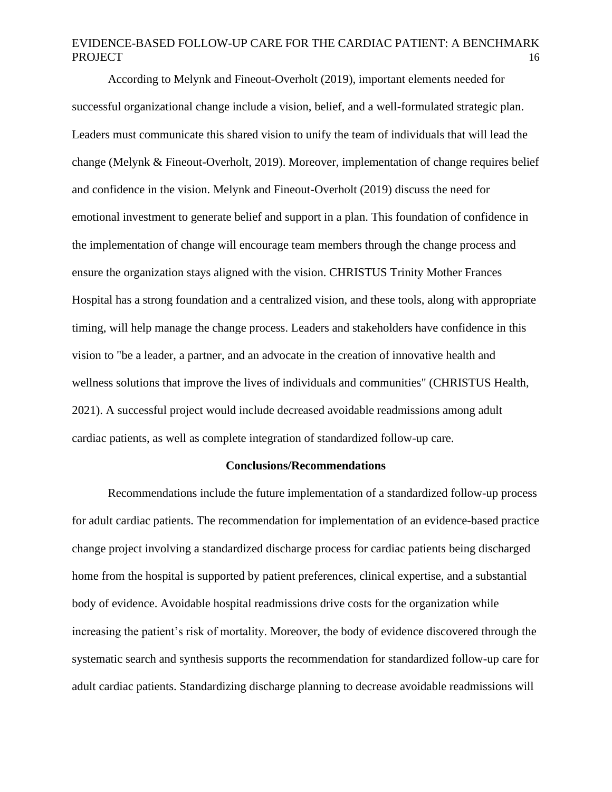According to Melynk and Fineout-Overholt (2019), important elements needed for successful organizational change include a vision, belief, and a well-formulated strategic plan. Leaders must communicate this shared vision to unify the team of individuals that will lead the change (Melynk & Fineout-Overholt, 2019). Moreover, implementation of change requires belief and confidence in the vision. Melynk and Fineout-Overholt (2019) discuss the need for emotional investment to generate belief and support in a plan. This foundation of confidence in the implementation of change will encourage team members through the change process and ensure the organization stays aligned with the vision. CHRISTUS Trinity Mother Frances Hospital has a strong foundation and a centralized vision, and these tools, along with appropriate timing, will help manage the change process. Leaders and stakeholders have confidence in this vision to "be a leader, a partner, and an advocate in the creation of innovative health and wellness solutions that improve the lives of individuals and communities" (CHRISTUS Health, 2021). A successful project would include decreased avoidable readmissions among adult cardiac patients, as well as complete integration of standardized follow-up care.

#### **Conclusions/Recommendations**

Recommendations include the future implementation of a standardized follow-up process for adult cardiac patients. The recommendation for implementation of an evidence-based practice change project involving a standardized discharge process for cardiac patients being discharged home from the hospital is supported by patient preferences, clinical expertise, and a substantial body of evidence. Avoidable hospital readmissions drive costs for the organization while increasing the patient's risk of mortality. Moreover, the body of evidence discovered through the systematic search and synthesis supports the recommendation for standardized follow-up care for adult cardiac patients. Standardizing discharge planning to decrease avoidable readmissions will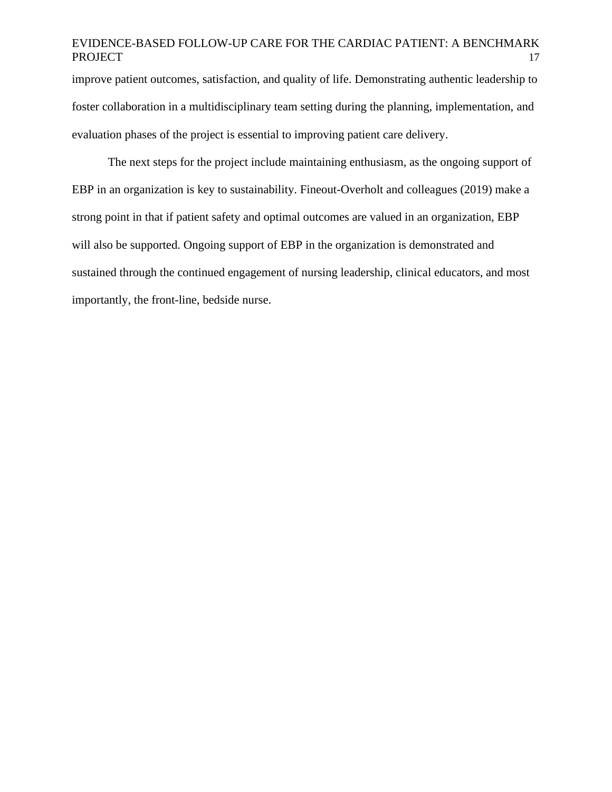improve patient outcomes, satisfaction, and quality of life. Demonstrating authentic leadership to foster collaboration in a multidisciplinary team setting during the planning, implementation, and evaluation phases of the project is essential to improving patient care delivery.

The next steps for the project include maintaining enthusiasm, as the ongoing support of EBP in an organization is key to sustainability. Fineout-Overholt and colleagues (2019) make a strong point in that if patient safety and optimal outcomes are valued in an organization, EBP will also be supported. Ongoing support of EBP in the organization is demonstrated and sustained through the continued engagement of nursing leadership, clinical educators, and most importantly, the front-line, bedside nurse.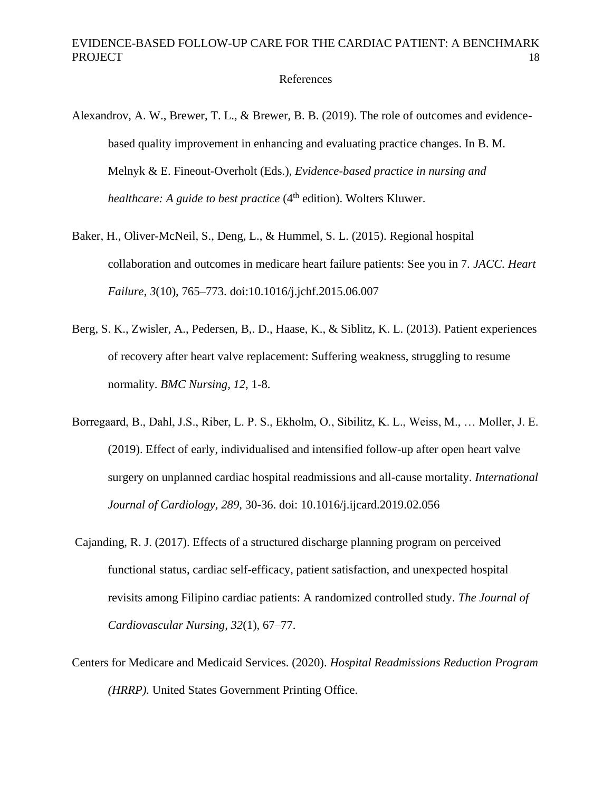References

- Alexandrov, A. W., Brewer, T. L., & Brewer, B. B. (2019). The role of outcomes and evidencebased quality improvement in enhancing and evaluating practice changes. In B. M. Melnyk & E. Fineout-Overholt (Eds.), *Evidence-based practice in nursing and healthcare: A guide to best practice* (4<sup>th</sup> edition). Wolters Kluwer.
- Baker, H., Oliver-McNeil, S., Deng, L., & Hummel, S. L. (2015). Regional hospital collaboration and outcomes in medicare heart failure patients: See you in 7. *JACC. Heart Failure*, *3*(10), 765–773. doi:10.1016/j.jchf.2015.06.007
- Berg, S. K., Zwisler, A., Pedersen, B,. D., Haase, K., & Siblitz, K. L. (2013). Patient experiences of recovery after heart valve replacement: Suffering weakness, struggling to resume normality. *BMC Nursing, 12,* 1-8.
- Borregaard, B., Dahl, J.S., Riber, L. P. S., Ekholm, O., Sibilitz, K. L., Weiss, M., … Moller, J. E. (2019). Effect of early, individualised and intensified follow-up after open heart valve surgery on unplanned cardiac hospital readmissions and all-cause mortality. *International Journal of Cardiology, 289,* 30-36. doi: 10.1016/j.ijcard.2019.02.056
- Cajanding, R. J. (2017). Effects of a structured discharge planning program on perceived functional status, cardiac self-efficacy, patient satisfaction, and unexpected hospital revisits among Filipino cardiac patients: A randomized controlled study. *The Journal of Cardiovascular Nursing*, *32*(1), 67–77.
- Centers for Medicare and Medicaid Services. (2020). *Hospital Readmissions Reduction Program (HRRP).* United States Government Printing Office.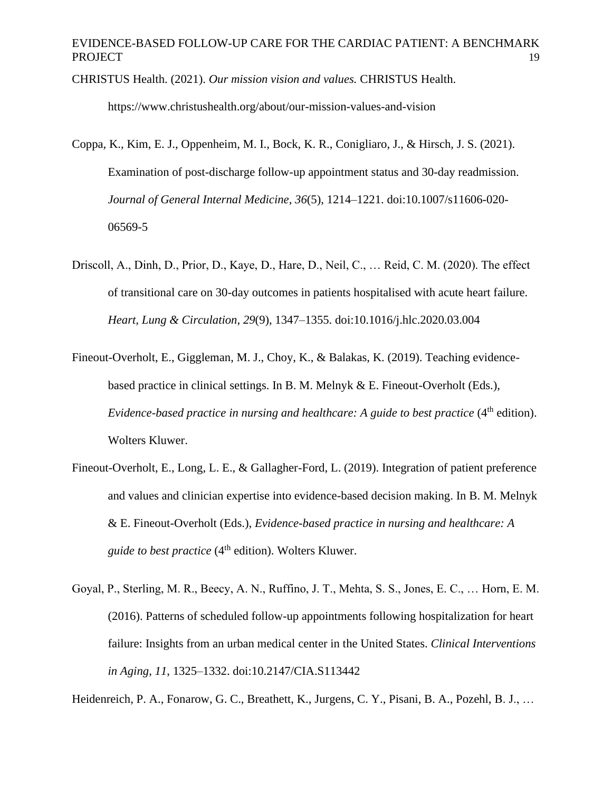CHRISTUS Health. (2021). *Our mission vision and values.* CHRISTUS Health.

https://www.christushealth.org/about/our-mission-values-and-vision

- Coppa, K., Kim, E. J., Oppenheim, M. I., Bock, K. R., Conigliaro, J., & Hirsch, J. S. (2021). Examination of post-discharge follow-up appointment status and 30-day readmission. *Journal of General Internal Medicine*, *36*(5), 1214–1221. doi:10.1007/s11606-020- 06569-5
- Driscoll, A., Dinh, D., Prior, D., Kaye, D., Hare, D., Neil, C., … Reid, C. M. (2020). The effect of transitional care on 30-day outcomes in patients hospitalised with acute heart failure. *Heart, Lung & Circulation*, *29*(9), 1347–1355. doi:10.1016/j.hlc.2020.03.004
- Fineout-Overholt, E., Giggleman, M. J., Choy, K., & Balakas, K. (2019). Teaching evidencebased practice in clinical settings. In B. M. Melnyk & E. Fineout-Overholt (Eds.), *Evidence-based practice in nursing and healthcare: A guide to best practice* (4<sup>th</sup> edition). Wolters Kluwer.
- Fineout-Overholt, E., Long, L. E., & Gallagher-Ford, L. (2019). Integration of patient preference and values and clinician expertise into evidence-based decision making. In B. M. Melnyk & E. Fineout-Overholt (Eds.), *Evidence-based practice in nursing and healthcare: A guide to best practice* (4<sup>th</sup> edition). Wolters Kluwer.
- Goyal, P., Sterling, M. R., Beecy, A. N., Ruffino, J. T., Mehta, S. S., Jones, E. C., … Horn, E. M. (2016). Patterns of scheduled follow-up appointments following hospitalization for heart failure: Insights from an urban medical center in the United States. *Clinical Interventions in Aging*, *11*, 1325–1332. doi:10.2147/CIA.S113442

Heidenreich, P. A., Fonarow, G. C., Breathett, K., Jurgens, C. Y., Pisani, B. A., Pozehl, B. J., …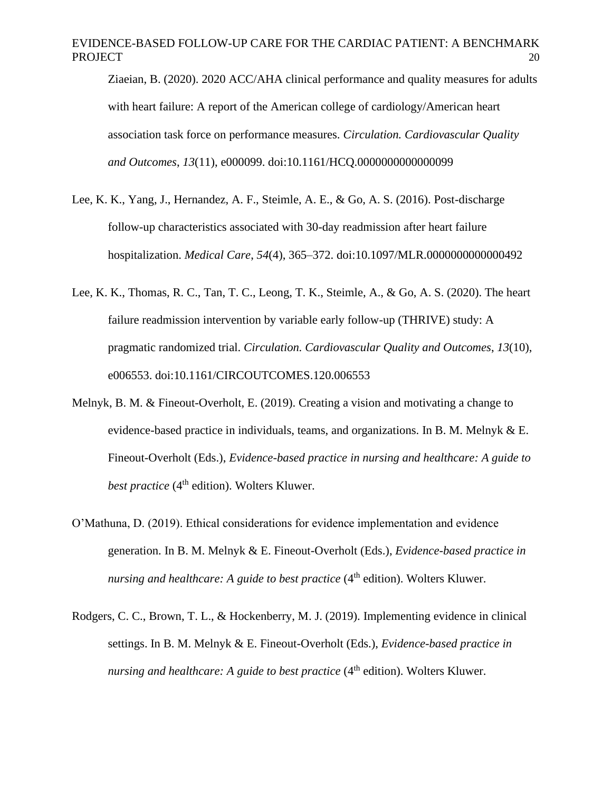Ziaeian, B. (2020). 2020 ACC/AHA clinical performance and quality measures for adults with heart failure: A report of the American college of cardiology/American heart association task force on performance measures. *Circulation. Cardiovascular Quality and Outcomes*, *13*(11), e000099. doi:10.1161/HCQ.0000000000000099

- Lee, K. K., Yang, J., Hernandez, A. F., Steimle, A. E., & Go, A. S. (2016). Post-discharge follow-up characteristics associated with 30-day readmission after heart failure hospitalization. *Medical Care*, *54*(4), 365–372. doi:10.1097/MLR.0000000000000492
- Lee, K. K., Thomas, R. C., Tan, T. C., Leong, T. K., Steimle, A., & Go, A. S. (2020). The heart failure readmission intervention by variable early follow-up (THRIVE) study: A pragmatic randomized trial. *Circulation. Cardiovascular Quality and Outcomes*, *13*(10), e006553. doi:10.1161/CIRCOUTCOMES.120.006553
- Melnyk, B. M. & Fineout-Overholt, E. (2019). Creating a vision and motivating a change to evidence-based practice in individuals, teams, and organizations. In B. M. Melnyk & E. Fineout-Overholt (Eds.), *Evidence-based practice in nursing and healthcare: A guide to best practice* (4<sup>th</sup> edition). Wolters Kluwer.
- O'Mathuna, D. (2019). Ethical considerations for evidence implementation and evidence generation. In B. M. Melnyk & E. Fineout-Overholt (Eds.), *Evidence-based practice in nursing and healthcare: A guide to best practice* (4<sup>th</sup> edition). Wolters Kluwer.
- Rodgers, C. C., Brown, T. L., & Hockenberry, M. J. (2019). Implementing evidence in clinical settings. In B. M. Melnyk & E. Fineout-Overholt (Eds.), *Evidence-based practice in nursing and healthcare: A guide to best practice* (4<sup>th</sup> edition). Wolters Kluwer.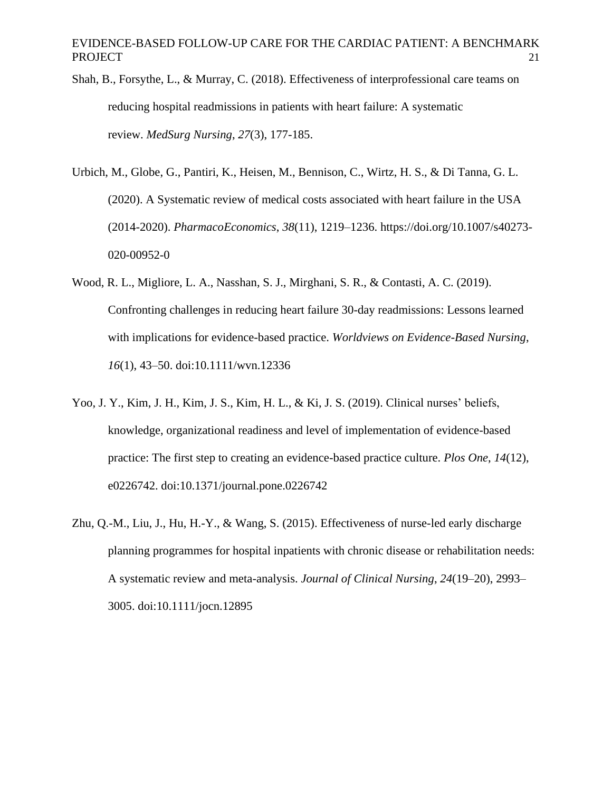- Shah, B., Forsythe, L., & Murray, C. (2018). Effectiveness of interprofessional care teams on reducing hospital readmissions in patients with heart failure: A systematic review. *MedSurg Nursing*, *27*(3), 177-185.
- Urbich, M., Globe, G., Pantiri, K., Heisen, M., Bennison, C., Wirtz, H. S., & Di Tanna, G. L. (2020). A Systematic review of medical costs associated with heart failure in the USA (2014-2020). *PharmacoEconomics*, *38*(11), 1219–1236. https://doi.org/10.1007/s40273- 020-00952-0
- Wood, R. L., Migliore, L. A., Nasshan, S. J., Mirghani, S. R., & Contasti, A. C. (2019). Confronting challenges in reducing heart failure 30-day readmissions: Lessons learned with implications for evidence-based practice. *Worldviews on Evidence-Based Nursing*, *16*(1), 43–50. doi:10.1111/wvn.12336
- Yoo, J. Y., Kim, J. H., Kim, J. S., Kim, H. L., & Ki, J. S. (2019). Clinical nurses' beliefs, knowledge, organizational readiness and level of implementation of evidence-based practice: The first step to creating an evidence-based practice culture. *Plos One*, *14*(12), e0226742. doi:10.1371/journal.pone.0226742
- Zhu, Q.-M., Liu, J., Hu, H.-Y., & Wang, S. (2015). Effectiveness of nurse-led early discharge planning programmes for hospital inpatients with chronic disease or rehabilitation needs: A systematic review and meta-analysis. *Journal of Clinical Nursing*, *24*(19–20), 2993– 3005. doi:10.1111/jocn.12895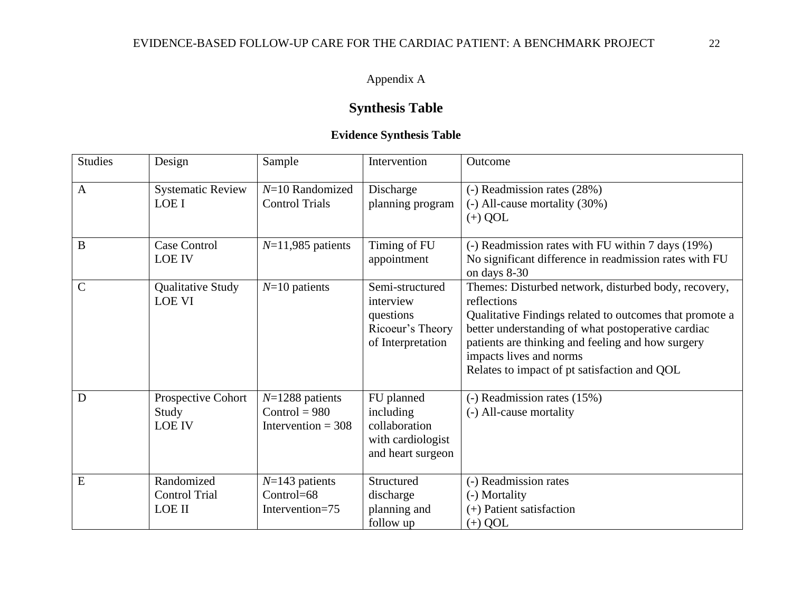# Appendix A

# **Synthesis Table**

# **Evidence Synthesis Table**

| <b>Studies</b> | Design                                       | Sample                                                       | Intervention                                                                       | Outcome                                                                                                                                                                                                                                                                                                              |
|----------------|----------------------------------------------|--------------------------------------------------------------|------------------------------------------------------------------------------------|----------------------------------------------------------------------------------------------------------------------------------------------------------------------------------------------------------------------------------------------------------------------------------------------------------------------|
| $\mathbf{A}$   | <b>Systematic Review</b><br>LOE I            | $N=10$ Randomized<br><b>Control Trials</b>                   | Discharge<br>planning program                                                      | (-) Readmission rates (28%)<br>$(-)$ All-cause mortality $(30\%)$<br>$(+)$ QOL                                                                                                                                                                                                                                       |
| B              | Case Control<br><b>LOE IV</b>                | $N=11,985$ patients                                          | Timing of FU<br>appointment                                                        | (-) Readmission rates with FU within 7 days (19%)<br>No significant difference in readmission rates with FU<br>on days 8-30                                                                                                                                                                                          |
| $\mathbf C$    | <b>Qualitative Study</b><br><b>LOE VI</b>    | $N=10$ patients                                              | Semi-structured<br>interview<br>questions<br>Ricoeur's Theory<br>of Interpretation | Themes: Disturbed network, disturbed body, recovery,<br>reflections<br>Qualitative Findings related to outcomes that promote a<br>better understanding of what postoperative cardiac<br>patients are thinking and feeling and how surgery<br>impacts lives and norms<br>Relates to impact of pt satisfaction and QOL |
| D              | Prospective Cohort<br>Study<br><b>LOE IV</b> | $N=1288$ patients<br>$Control = 980$<br>Intervention = $308$ | FU planned<br>including<br>collaboration<br>with cardiologist<br>and heart surgeon | (-) Readmission rates (15%)<br>(-) All-cause mortality                                                                                                                                                                                                                                                               |
| E              | Randomized<br><b>Control Trial</b><br>LOE II | $N=143$ patients<br>Control=68<br>Intervention=75            | Structured<br>discharge<br>planning and<br>follow up                               | (-) Readmission rates<br>(-) Mortality<br>(+) Patient satisfaction<br>$(+)$ QOL                                                                                                                                                                                                                                      |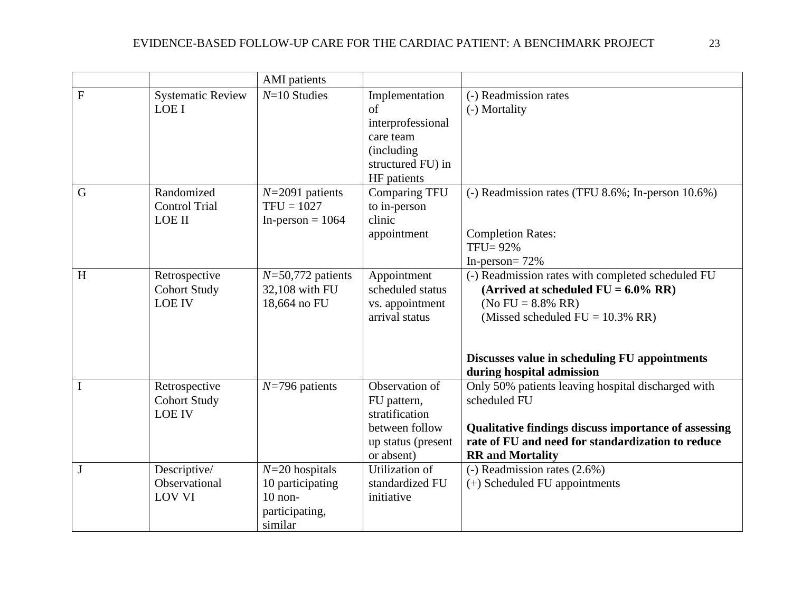|           |                                                       | <b>AMI</b> patients                                                            |                                                                                                          |                                                                                                                                                                                                                                            |
|-----------|-------------------------------------------------------|--------------------------------------------------------------------------------|----------------------------------------------------------------------------------------------------------|--------------------------------------------------------------------------------------------------------------------------------------------------------------------------------------------------------------------------------------------|
| ${\bf F}$ | <b>Systematic Review</b><br>LOE I                     | $N=10$ Studies                                                                 | Implementation<br>of<br>interprofessional<br>care team<br>(including<br>structured FU) in<br>HF patients | (-) Readmission rates<br>(-) Mortality                                                                                                                                                                                                     |
| G         | Randomized<br><b>Control Trial</b><br><b>LOE II</b>   | $N=2091$ patients<br>$TFU = 1027$<br>In-person = $1064$                        | <b>Comparing TFU</b><br>to in-person<br>clinic<br>appointment                                            | (-) Readmission rates (TFU 8.6%; In-person 10.6%)<br><b>Completion Rates:</b><br>$TFU = 92\%$<br>In-person= $72%$                                                                                                                          |
| H         | Retrospective<br><b>Cohort Study</b><br><b>LOE IV</b> | $N=50,772$ patients<br>32,108 with FU<br>18,664 no FU                          | Appointment<br>scheduled status<br>vs. appointment<br>arrival status                                     | (-) Readmission rates with completed scheduled FU<br>(Arrived at scheduled $FU = 6.0\% RR$ )<br>(No FU = $8.8\%$ RR)<br>(Missed scheduled $FU = 10.3\% RR$ )<br>Discusses value in scheduling FU appointments<br>during hospital admission |
| I         | Retrospective<br><b>Cohort Study</b><br><b>LOE IV</b> | $N=796$ patients                                                               | Observation of<br>FU pattern,<br>stratification<br>between follow<br>up status (present<br>or absent)    | Only 50% patients leaving hospital discharged with<br>scheduled FU<br>Qualitative findings discuss importance of assessing<br>rate of FU and need for standardization to reduce<br><b>RR</b> and Mortality                                 |
| J         | Descriptive/<br>Observational<br><b>LOV VI</b>        | $N=20$ hospitals<br>10 participating<br>$10$ non-<br>participating,<br>similar | Utilization of<br>standardized FU<br>initiative                                                          | $(-)$ Readmission rates $(2.6%)$<br>(+) Scheduled FU appointments                                                                                                                                                                          |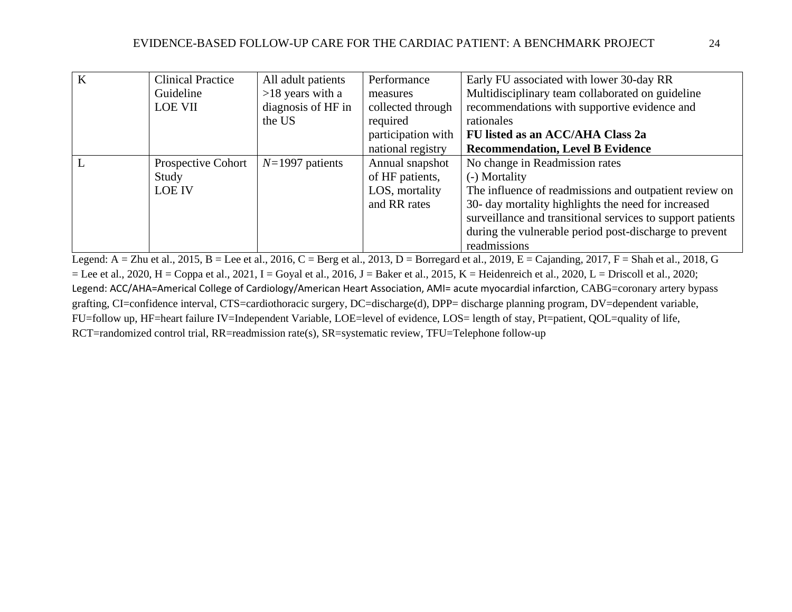| $\bf K$ | <b>Clinical Practice</b> | All adult patients | Performance        | Early FU associated with lower 30-day RR                   |
|---------|--------------------------|--------------------|--------------------|------------------------------------------------------------|
|         | Guideline                | $>18$ years with a | measures           | Multidisciplinary team collaborated on guideline           |
|         | <b>LOE VII</b>           | diagnosis of HF in | collected through  | recommendations with supportive evidence and               |
|         |                          | the US             | required           | rationales                                                 |
|         |                          |                    | participation with | FU listed as an ACC/AHA Class 2a                           |
|         |                          |                    | national registry  | <b>Recommendation, Level B Evidence</b>                    |
|         | Prospective Cohort       | $N=1997$ patients  | Annual snapshot    | No change in Readmission rates                             |
|         | Study                    |                    | of HF patients,    | (-) Mortality                                              |
|         | <b>LOE IV</b>            |                    | LOS, mortality     | The influence of readmissions and outpatient review on     |
|         |                          |                    | and RR rates       | 30- day mortality highlights the need for increased        |
|         |                          |                    |                    | surveillance and transitional services to support patients |
|         |                          |                    |                    | during the vulnerable period post-discharge to prevent     |
|         |                          |                    |                    | readmissions                                               |

Legend:  $A = Zhu$  et al., 2015,  $B = Lee$  et al., 2016,  $C = Berg$  et al., 2013,  $D = B$ orregard et al., 2019,  $E = Cajanding$ , 2017,  $F = Shah$  et al., 2018, G  $=$  Lee et al., 2020, H = Coppa et al., 2021, I = Goyal et al., 2016, J = Baker et al., 2015, K = Heidenreich et al., 2020, L = Driscoll et al., 2020; Legend: ACC/AHA=Americal College of Cardiology/American Heart Association, AMI= acute myocardial infarction, CABG=coronary artery bypass grafting, CI=confidence interval, CTS=cardiothoracic surgery, DC=discharge(d), DPP= discharge planning program, DV=dependent variable, FU=follow up, HF=heart failure IV=Independent Variable, LOE=level of evidence, LOS= length of stay, Pt=patient, QOL=quality of life, RCT=randomized control trial, RR=readmission rate(s), SR=systematic review, TFU=Telephone follow-up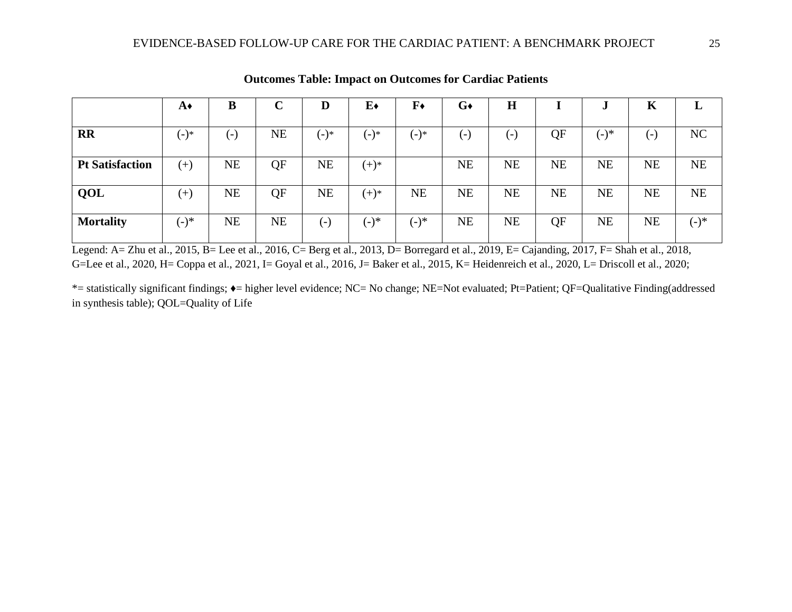|                        | A◆       | B         | $\mathbf C$ | D         | $E\bullet$ | $\mathbf{F} \bullet$ | $G\bullet$ | $\mathbf H$ |           |           | K            | L       |
|------------------------|----------|-----------|-------------|-----------|------------|----------------------|------------|-------------|-----------|-----------|--------------|---------|
| <b>RR</b>              | $(-)^*$  | $(-)$     | NE          | $(-)^*$   | (-)*       | $(-)$ *              | (-)        | $(-)$       | QF        | $(-)^*$   | $\mathbf{E}$ | NC      |
| <b>Pt Satisfaction</b> | $^{(+)}$ | <b>NE</b> | QF          | <b>NE</b> | $(+)^*$    |                      | <b>NE</b>  | <b>NE</b>   | <b>NE</b> | <b>NE</b> | <b>NE</b>    | NE      |
| QOL                    | $^{(+)}$ | <b>NE</b> | QF          | <b>NE</b> | $(+)^*$    | <b>NE</b>            | <b>NE</b>  | <b>NE</b>   | <b>NE</b> | <b>NE</b> | <b>NE</b>    | NE      |
| <b>Mortality</b>       | $(-)^*$  | <b>NE</b> | <b>NE</b>   | ( – )     | $(-)^*$    | (-)*                 | <b>NE</b>  | <b>NE</b>   | QF        | <b>NE</b> | <b>NE</b>    | $(-)^*$ |

**Outcomes Table: Impact on Outcomes for Cardiac Patients**

Legend: A= Zhu et al., 2015, B= Lee et al., 2016, C= Berg et al., 2013, D= Borregard et al., 2019, E= Cajanding, 2017, F= Shah et al., 2018, G=Lee et al., 2020, H= Coppa et al., 2021, I= Goyal et al., 2016, J= Baker et al., 2015, K= Heidenreich et al., 2020, L= Driscoll et al., 2020;

\*= statistically significant findings; ♦= higher level evidence; NC= No change; NE=Not evaluated; Pt=Patient; QF=Qualitative Finding(addressed in synthesis table); QOL=Quality of Life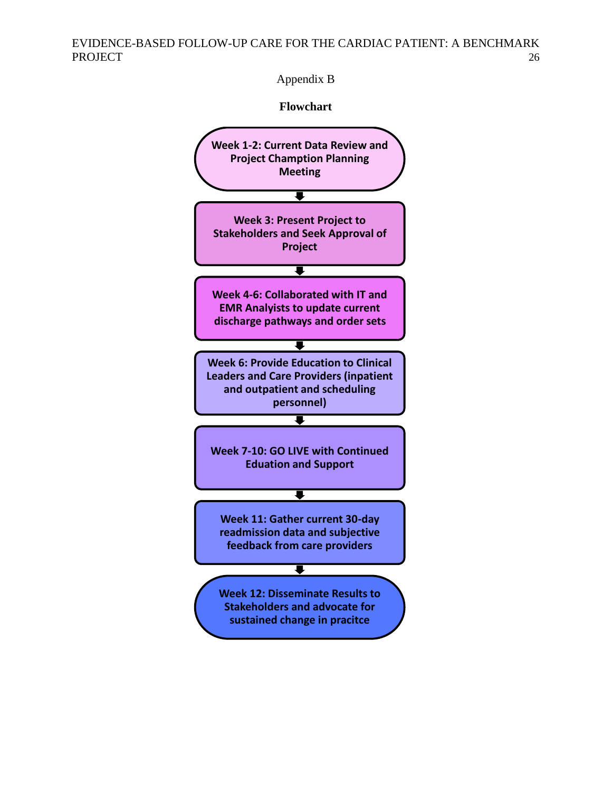Appendix B

**Flowchart**

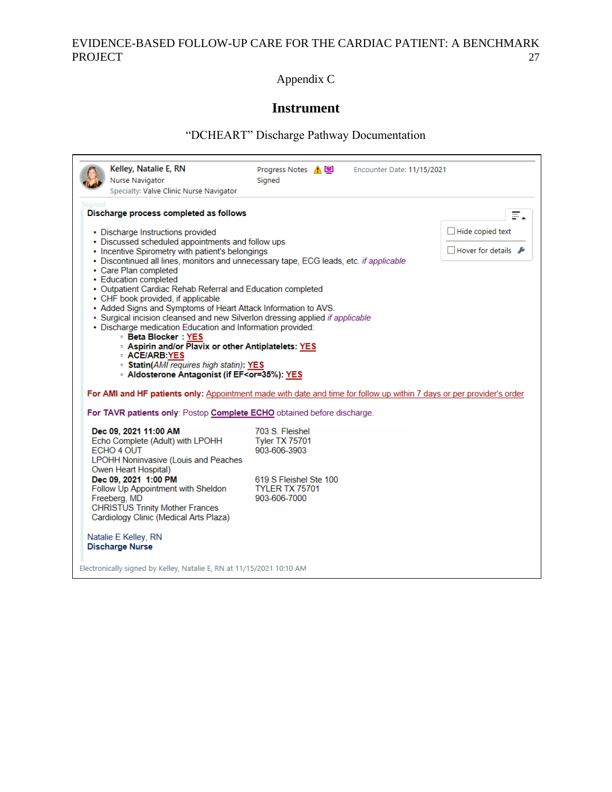Appendix C

# **Instrument**

# "DCHEART" Discharge Pathway Documentation

| Nurse Navigator                                                                                                                  | Progress Notes A<br>Encounter Date: 11/15/2021<br>Signed                                                              |                                      |
|----------------------------------------------------------------------------------------------------------------------------------|-----------------------------------------------------------------------------------------------------------------------|--------------------------------------|
| Specialty: Valve Clinic Nurse Navigator                                                                                          |                                                                                                                       |                                      |
|                                                                                                                                  |                                                                                                                       |                                      |
| Discharge process completed as follows                                                                                           |                                                                                                                       |                                      |
| • Discharge Instructions provided                                                                                                |                                                                                                                       | $\Box$ Hide copied text              |
| • Discussed scheduled appointments and follow ups<br>• Incentive Spirometry with patient's belongings                            |                                                                                                                       | $\Box$ Hover for details $\clubsuit$ |
|                                                                                                                                  | • Discontinued all lines, monitors and unnecessary tape, ECG leads, etc. if applicable                                |                                      |
| • Care Plan completed                                                                                                            |                                                                                                                       |                                      |
| • Education completed                                                                                                            |                                                                                                                       |                                      |
| • Outpatient Cardiac Rehab Referral and Education completed<br>• CHF book provided, if applicable                                |                                                                                                                       |                                      |
| • Added Signs and Symptoms of Heart Attack Information to AVS.                                                                   |                                                                                                                       |                                      |
| • Surgical incision cleansed and new Silverlon dressing applied if applicable                                                    |                                                                                                                       |                                      |
| · Discharge medication Education and Information provided:<br><b>Beta Blocker: YES</b>                                           |                                                                                                                       |                                      |
| <b>Aspirin and/or Plavix or other Antiplatelets: YES</b>                                                                         |                                                                                                                       |                                      |
| <b>ACE/ARB:YES</b>                                                                                                               |                                                                                                                       |                                      |
| · Statin(AMI requires high statin): YES<br>· Aldosterone Antagonist (if EF <or=35%): th="" yes<=""><th></th><th></th></or=35%):> |                                                                                                                       |                                      |
|                                                                                                                                  |                                                                                                                       |                                      |
|                                                                                                                                  | For AMI and HF patients only: Appointment made with date and time for follow up within 7 days or per provider's order |                                      |
| For TAVR patients only: Postop Complete ECHO obtained before discharge.                                                          |                                                                                                                       |                                      |
|                                                                                                                                  |                                                                                                                       |                                      |
|                                                                                                                                  |                                                                                                                       |                                      |
| Dec 09, 2021 11:00 AM                                                                                                            | 703 S. Fleishel                                                                                                       |                                      |
| Echo Complete (Adult) with LPOHH<br>ECHO 4 OUT                                                                                   | <b>Tyler TX 75701</b><br>903-606-3903                                                                                 |                                      |
| <b>LPOHH Noninvasive (Louis and Peaches</b>                                                                                      |                                                                                                                       |                                      |
| Owen Heart Hospital)                                                                                                             |                                                                                                                       |                                      |
| Dec 09, 2021 1:00 PM                                                                                                             | 619 S Fleishel Ste 100                                                                                                |                                      |
| Follow Up Appointment with Sheldon                                                                                               | <b>TYLER TX 75701</b><br>903-606-7000                                                                                 |                                      |
| Freeberg, MD<br><b>CHRISTUS Trinity Mother Frances</b>                                                                           |                                                                                                                       |                                      |
| Cardiology Clinic (Medical Arts Plaza)                                                                                           |                                                                                                                       |                                      |
|                                                                                                                                  |                                                                                                                       |                                      |
|                                                                                                                                  |                                                                                                                       |                                      |
| Natalie E Kelley, RN<br><b>Discharge Nurse</b>                                                                                   |                                                                                                                       |                                      |